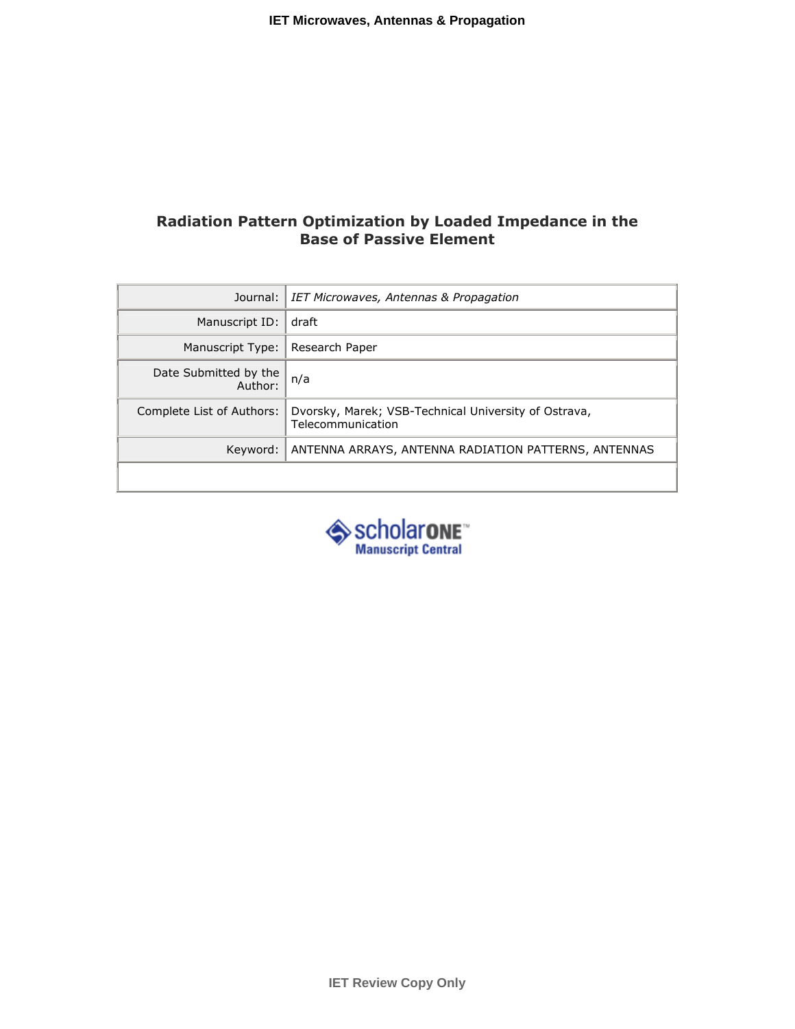# Radiation Pattern Optimization by Loaded Impedance in the Base of Passive Element

| Journal:                         | IET Microwaves, Antennas & Propagation                                    |
|----------------------------------|---------------------------------------------------------------------------|
| Manuscript ID:                   | draft                                                                     |
| Manuscript Type:                 | Research Paper                                                            |
| Date Submitted by the<br>Author: | n/a                                                                       |
| Complete List of Authors:        | Dvorsky, Marek; VSB-Technical University of Ostrava,<br>Telecommunication |
| Keyword:                         | ANTENNA ARRAYS, ANTENNA RADIATION PATTERNS, ANTENNAS                      |
|                                  |                                                                           |

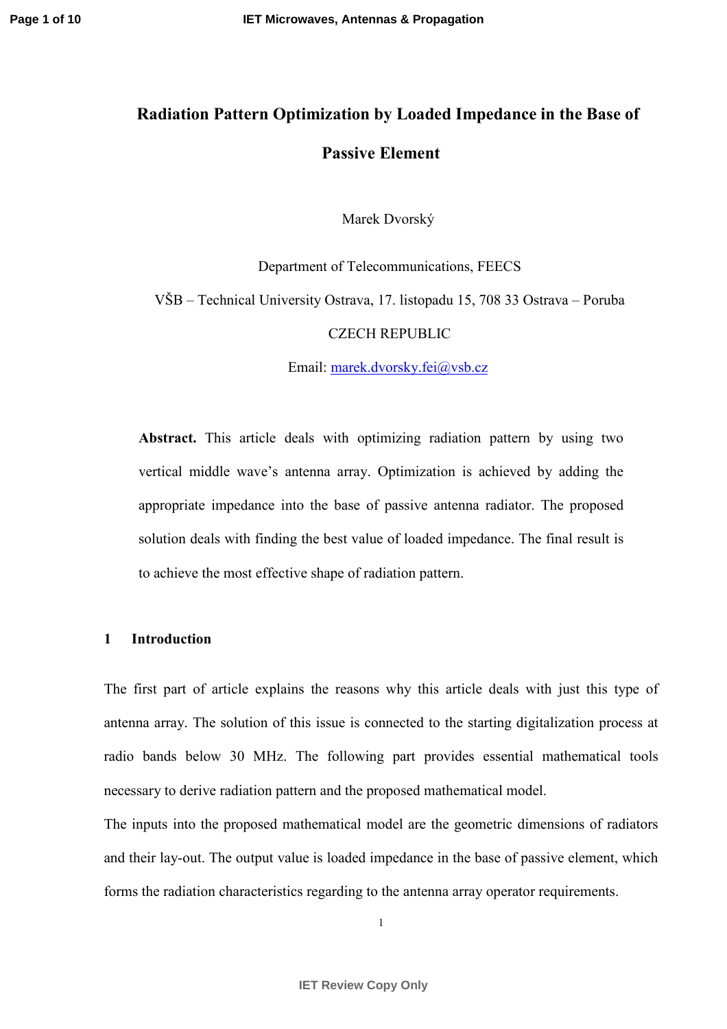# Radiation Pattern Optimization by Loaded Impedance in the Base of Passive Element

Marek Dvorský

Department of Telecommunications, FEECS VŠB – Technical University Ostrava, 17. listopadu 15, 708 33 Ostrava – Poruba CZECH REPUBLIC

Email: [marek.dvorsky.fei@vsb.cz](mailto:marek.dvorsky.fei@vsb.cz)

Abstract. This article deals with optimizing radiation pattern by using two vertical middle wave's antenna array. Optimization is achieved by adding the appropriate impedance into the base of passive antenna radiator. The proposed solution deals with finding the best value of loaded impedance. The final result is to achieve the most effective shape of radiation pattern.

# 1 Introduction

The first part of article explains the reasons why this article deals with just this type of antenna array. The solution of this issue is connected to the starting digitalization process at radio bands below 30 MHz. The following part provides essential mathematical tools necessary to derive radiation pattern and the proposed mathematical model.

The inputs into the proposed mathematical model are the geometric dimensions of radiators and their lay-out. The output value is loaded impedance in the base of passive element, which forms the radiation characteristics regarding to the antenna array operator requirements.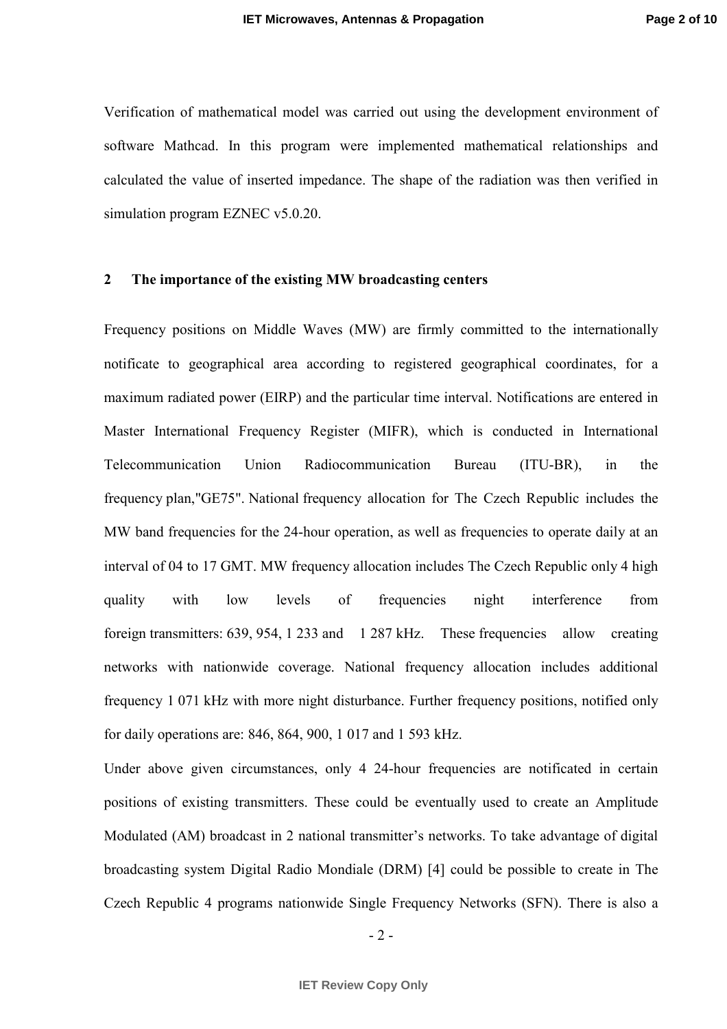Verification of mathematical model was carried out using the development environment of software Mathcad. In this program were implemented mathematical relationships and calculated the value of inserted impedance. The shape of the radiation was then verified in simulation program EZNEC v5.0.20.

## 2 The importance of the existing MW broadcasting centers

Frequency positions on Middle Waves (MW) are firmly committed to the internationally notificate to geographical area according to registered geographical coordinates, for a maximum radiated power (EIRP) and the particular time interval. Notifications are entered in Master International Frequency Register (MIFR), which is conducted in International Telecommunication Union Radiocommunication Bureau (ITU-BR), in the frequency plan,"GE75". National frequency allocation for The Czech Republic includes the MW band frequencies for the 24-hour operation, as well as frequencies to operate daily at an interval of 04 to 17 GMT. MW frequency allocation includes The Czech Republic only 4 high quality with low levels of frequencies night interference from foreign transmitters: 639, 954, 1 233 and 1 287 kHz. These frequencies allow creating networks with nationwide coverage. National frequency allocation includes additional frequency 1 071 kHz with more night disturbance. Further frequency positions, notified only for daily operations are: 846, 864, 900, 1 017 and 1 593 kHz.

Under above given circumstances, only 4 24-hour frequencies are notificated in certain positions of existing transmitters. These could be eventually used to create an Amplitude Modulated (AM) broadcast in 2 national transmitter's networks. To take advantage of digital broadcasting system Digital Radio Mondiale (DRM) [4] could be possible to create in The Czech Republic 4 programs nationwide Single Frequency Networks (SFN). There is also a

 $-2-$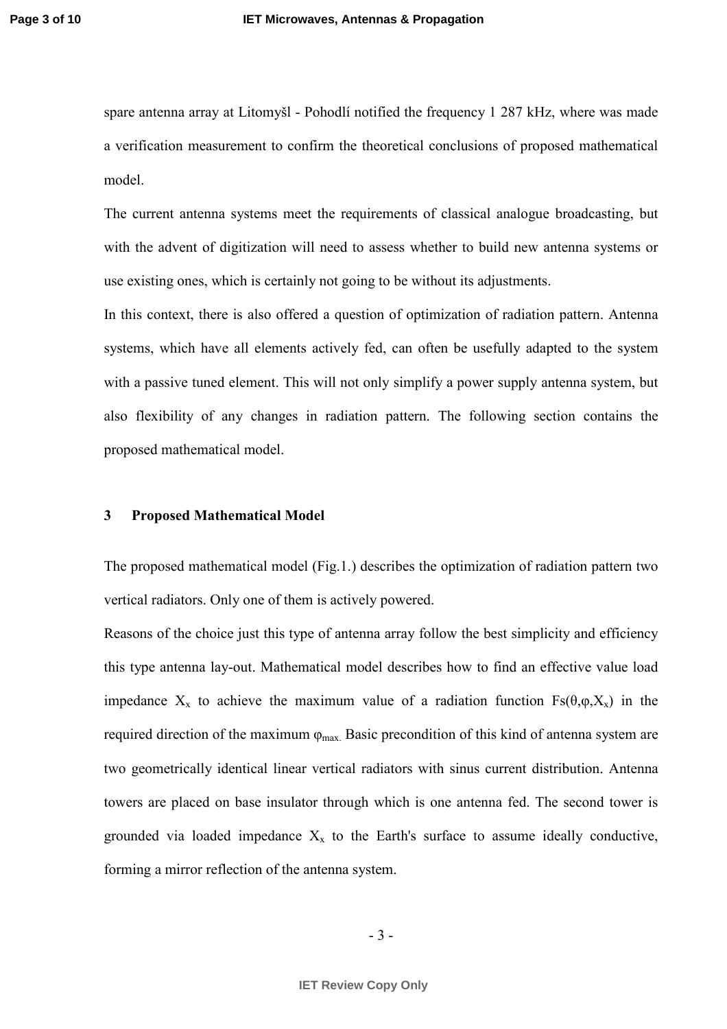spare antenna array at Litomyšl - Pohodlí notified the frequency 1 287 kHz, where was made a verification measurement to confirm the theoretical conclusions of proposed mathematical model.

The current antenna systems meet the requirements of classical analogue broadcasting, but with the advent of digitization will need to assess whether to build new antenna systems or use existing ones, which is certainly not going to be without its adjustments.

In this context, there is also offered a question of optimization of radiation pattern. Antenna systems, which have all elements actively fed, can often be usefully adapted to the system with a passive tuned element. This will not only simplify a power supply antenna system, but also flexibility of any changes in radiation pattern. The following section contains the proposed mathematical model.

## 3 Proposed Mathematical Model

The proposed mathematical model (Fig.1.) describes the optimization of radiation pattern two vertical radiators. Only one of them is actively powered.

Reasons of the choice just this type of antenna array follow the best simplicity and efficiency this type antenna lay-out. Mathematical model describes how to find an effective value load impedance  $X_x$  to achieve the maximum value of a radiation function  $Fs(\theta,\varphi,X_x)$  in the required direction of the maximum  $\varphi_{\text{max}}$ . Basic precondition of this kind of antenna system are two geometrically identical linear vertical radiators with sinus current distribution. Antenna towers are placed on base insulator through which is one antenna fed. The second tower is grounded via loaded impedance  $X_x$  to the Earth's surface to assume ideally conductive, forming a mirror reflection of the antenna system.

$$
-3-
$$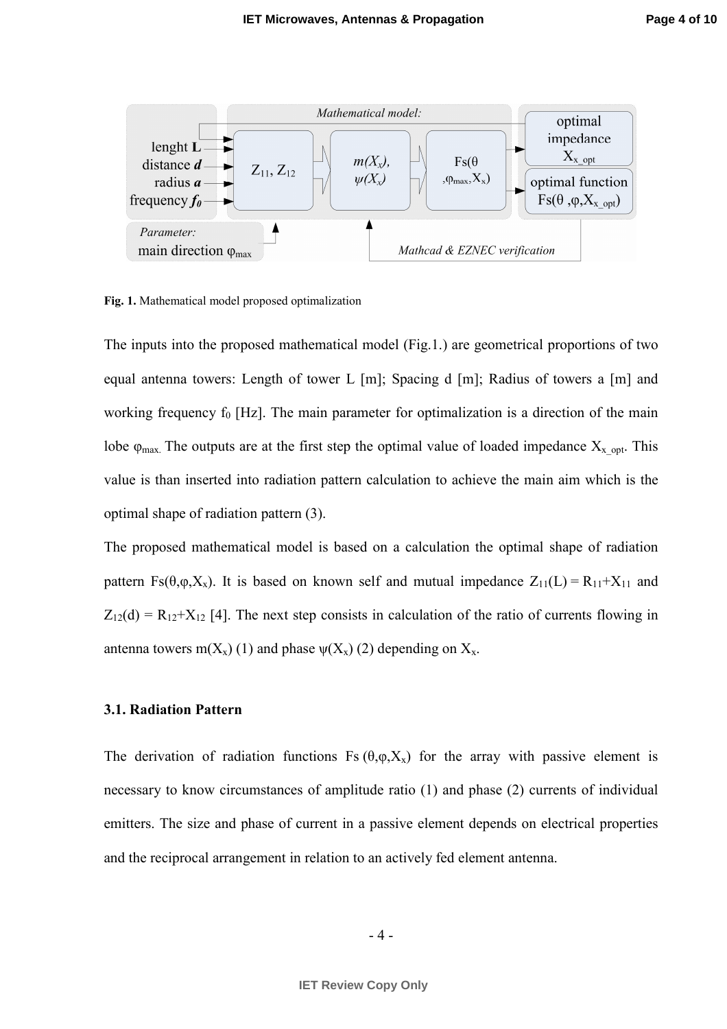

Fig. 1. Mathematical model proposed optimalization

The inputs into the proposed mathematical model (Fig.1.) are geometrical proportions of two equal antenna towers: Length of tower L [m]; Spacing d [m]; Radius of towers a [m] and working frequency  $f_0$  [Hz]. The main parameter for optimalization is a direction of the main lobe  $\varphi_{\text{max}}$ . The outputs are at the first step the optimal value of loaded impedance  $X_{x}$  <sub>opt</sub>. This value is than inserted into radiation pattern calculation to achieve the main aim which is the optimal shape of radiation pattern (3).

The proposed mathematical model is based on a calculation the optimal shape of radiation pattern Fs( $\theta$ , $\varphi$ , $X_x$ ). It is based on known self and mutual impedance  $Z_{11}(L) = R_{11} + X_{11}$  and  $Z_{12}(d) = R_{12}+X_{12}$  [4]. The next step consists in calculation of the ratio of currents flowing in antenna towers m( $X_x$ ) (1) and phase  $\psi(X_x)$  (2) depending on  $X_x$ .

### 3.1. Radiation Pattern

The derivation of radiation functions Fs  $(\theta, \varphi, X_x)$  for the array with passive element is necessary to know circumstances of amplitude ratio (1) and phase (2) currents of individual emitters. The size and phase of current in a passive element depends on electrical properties and the reciprocal arrangement in relation to an actively fed element antenna.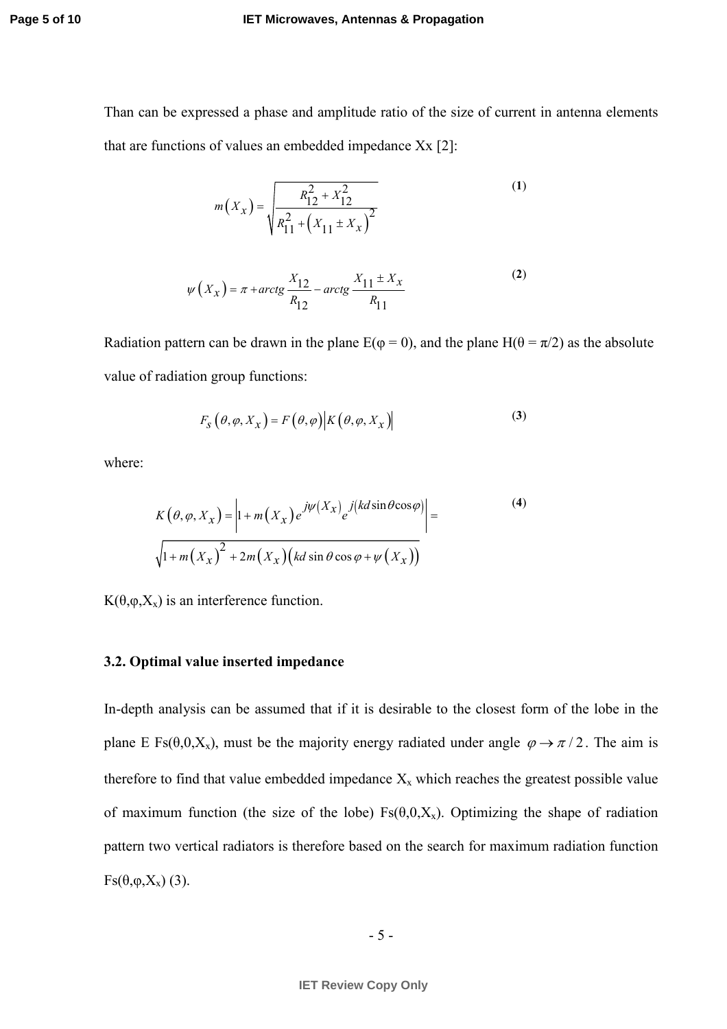#### **IET Microwaves, Antennas & Propagation**

Than can be expressed a phase and amplitude ratio of the size of current in antenna elements that are functions of values an embedded impedance Xx [2]:

$$
m(X_x) = \sqrt{\frac{R_{12}^2 + X_{12}^2}{R_{11}^2 + (X_{11} \pm X_x)^2}}
$$
(1)

$$
\psi\left(X_{\mathcal{X}}\right) = \pi + \arctg\frac{X_{12}}{R_{12}} - \arctg\frac{X_{11} \pm X_{\mathcal{X}}}{R_{11}}\tag{2}
$$

Radiation pattern can be drawn in the plane  $E(\varphi = 0)$ , and the plane  $H(\theta = \pi/2)$  as the absolute value of radiation group functions:

$$
F_{S}(\theta, \varphi, X_{X}) = F(\theta, \varphi) \big| K(\theta, \varphi, X_{X}) \big| \tag{3}
$$

where:

$$
K(\theta, \varphi, X_x) = \left| 1 + m(X_x) e^{j\psi(X_x)} e^{j(kd\sin\theta\cos\varphi)} \right| =
$$
  

$$
\sqrt{1 + m(X_x)^2 + 2m(X_x) (kd\sin\theta\cos\varphi + \psi(X_x))}
$$
 (4)

K( $θ$ , $φ$ , $X$ <sub>x</sub>) is an interference function.

## 3.2. Optimal value inserted impedance

In-depth analysis can be assumed that if it is desirable to the closest form of the lobe in the plane E Fs( $\theta$ , $0$ , $X_x$ ), must be the majority energy radiated under angle  $\varphi \rightarrow \pi/2$ . The aim is therefore to find that value embedded impedance  $X_x$  which reaches the greatest possible value of maximum function (the size of the lobe)  $Fs(\theta,0,X_x)$ . Optimizing the shape of radiation pattern two vertical radiators is therefore based on the search for maximum radiation function  $\text{Fs}(\theta,\varphi,X_{x})$  (3).

$$
-5 -
$$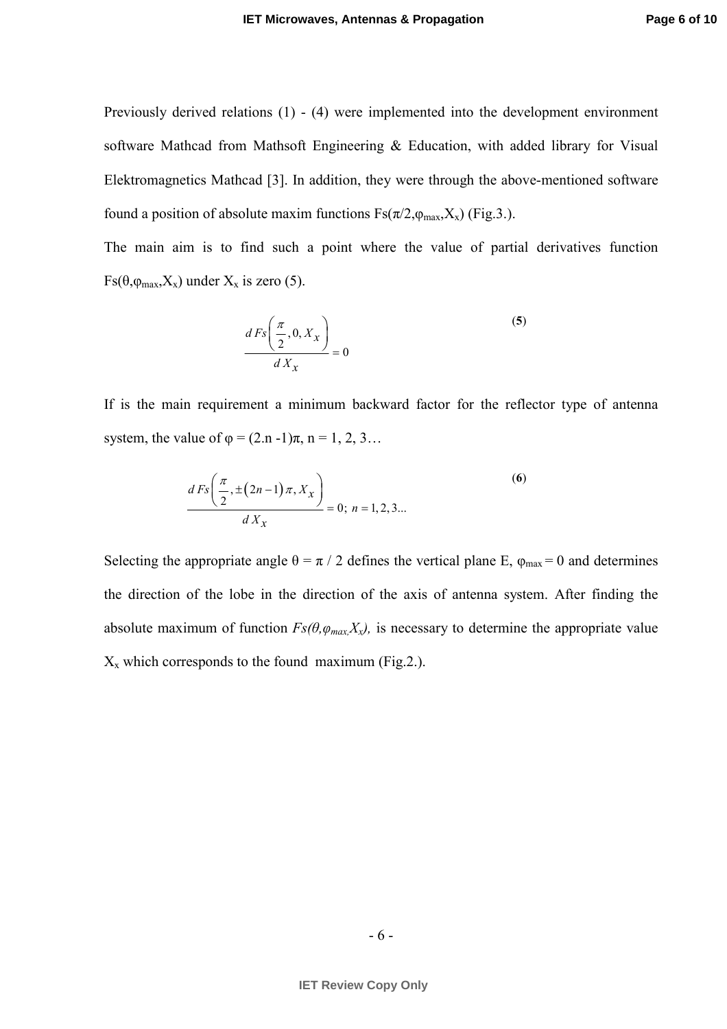Previously derived relations (1) - (4) were implemented into the development environment software Mathcad from Mathsoft Engineering & Education, with added library for Visual Elektromagnetics Mathcad [3]. In addition, they were through the above-mentioned software found a position of absolute maxim functions  $Fs(\pi/2, \varphi_{\text{max}}, X_x)$  (Fig.3.).

The main aim is to find such a point where the value of partial derivatives function  $Fs(\theta, \varphi_{\text{max}}, X_x)$  under  $X_x$  is zero (5).

$$
\frac{dF_s\left(\frac{\pi}{2}, 0, X_x\right)}{dX_x} = 0
$$
\n(5)

If is the main requirement a minimum backward factor for the reflector type of antenna system, the value of  $\varphi = (2 \text{ n } -1)\pi$ ,  $\varpi = 1, 2, 3...$ 

$$
\frac{d\,Fs\left(\frac{\pi}{2}, \pm\left(2n-1\right)\pi, X_x\right)}{d\,X_x} = 0; \ n = 1, 2, 3...
$$
\n(6)

Selecting the appropriate angle  $\theta = \pi / 2$  defines the vertical plane E,  $\varphi_{\text{max}} = 0$  and determines the direction of the lobe in the direction of the axis of antenna system. After finding the absolute maximum of function  $Fs(\theta, \varphi_{max}X_x)$ , is necessary to determine the appropriate value  $X_x$  which corresponds to the found maximum (Fig.2.).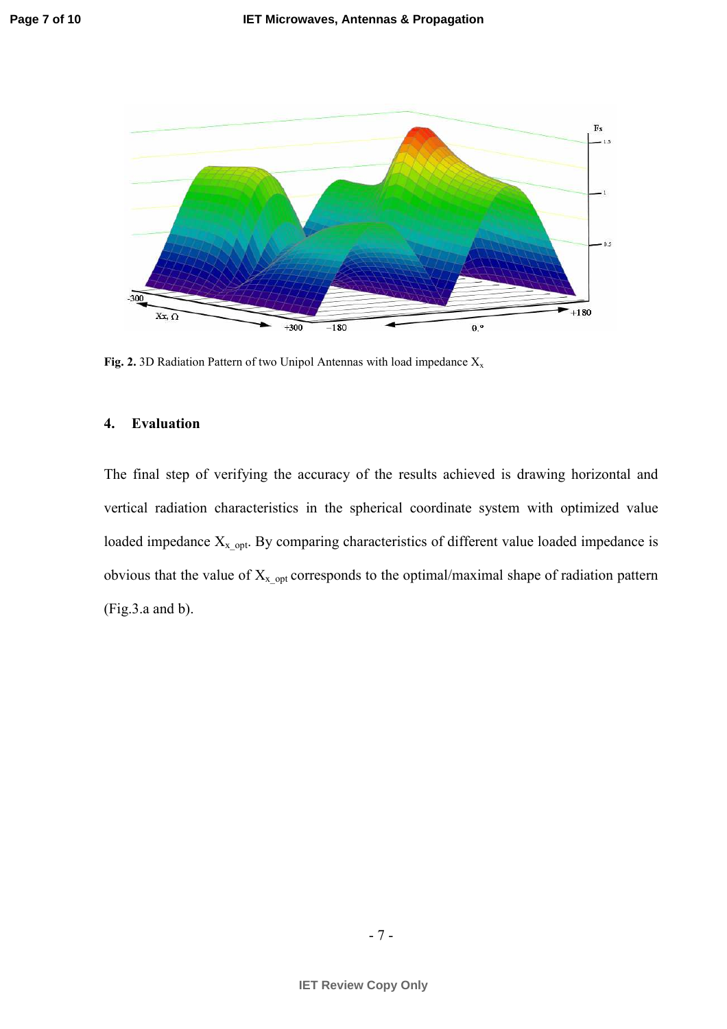

Fig. 2. 3D Radiation Pattern of two Unipol Antennas with load impedance  $X_x$ 

## 4. Evaluation

The final step of verifying the accuracy of the results achieved is drawing horizontal and vertical radiation characteristics in the spherical coordinate system with optimized value loaded impedance  $X_{x,opt}$ . By comparing characteristics of different value loaded impedance is obvious that the value of  $X_{x,opt}$  corresponds to the optimal/maximal shape of radiation pattern (Fig.3.a and b).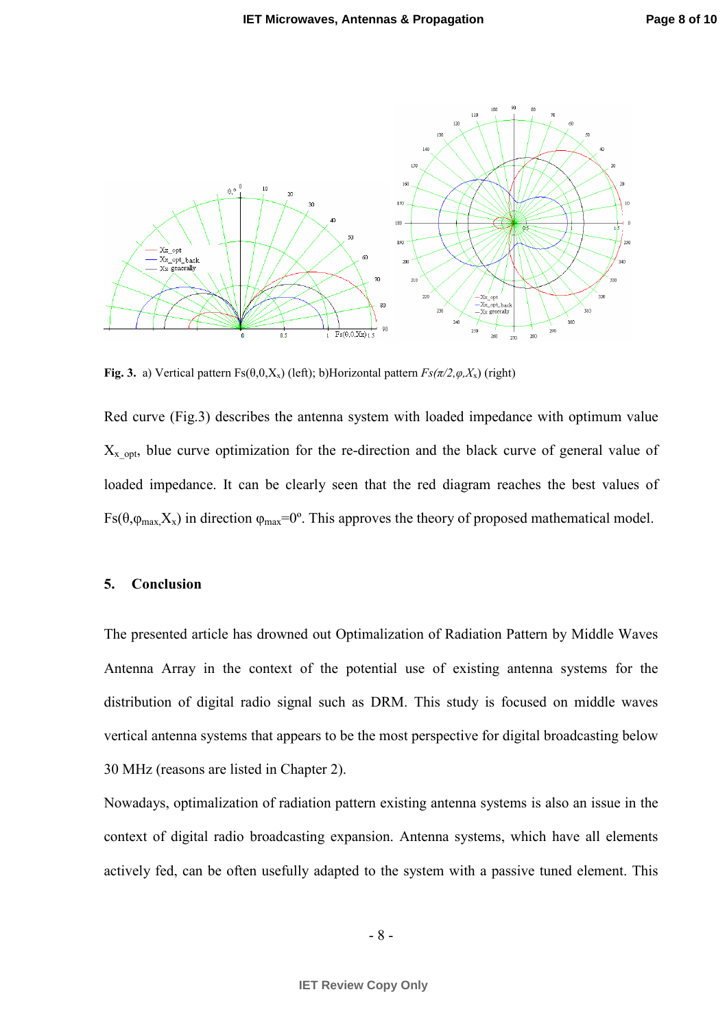

Fig. 3. a) Vertical pattern  $Fs(\theta,0,X_x)$  (left); b)Horizontal pattern  $Fs(\pi/2,\varphi,X_x)$  (right)

Red curve (Fig.3) describes the antenna system with loaded impedance with optimum value  $X_{x}$  opt, blue curve optimization for the re-direction and the black curve of general value of loaded impedance. It can be clearly seen that the red diagram reaches the best values of Fs( $\theta$ , $\varphi_{\text{max}}$ , $X_x$ ) in direction  $\varphi_{\text{max}}$ =0°. This approves the theory of proposed mathematical model.

## 5. Conclusion

The presented article has drowned out Optimalization of Radiation Pattern by Middle Waves Antenna Array in the context of the potential use of existing antenna systems for the distribution of digital radio signal such as DRM. This study is focused on middle waves vertical antenna systems that appears to be the most perspective for digital broadcasting below 30 MHz (reasons are listed in Chapter 2).

Nowadays, optimalization of radiation pattern existing antenna systems is also an issue in the context of digital radio broadcasting expansion. Antenna systems, which have all elements actively fed, can be often usefully adapted to the system with a passive tuned element. This